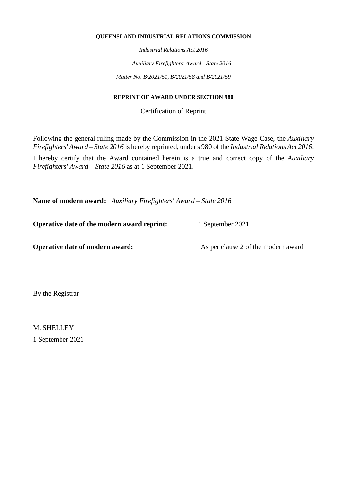#### **QUEENSLAND INDUSTRIAL RELATIONS COMMISSION**

*Industrial Relations Act 2016*

*Auxiliary Firefighters' Award - State 2016*

*Matter No. B/2021/51, B/2021/58 and B/2021/59*

#### **REPRINT OF AWARD UNDER SECTION 980**

Certification of Reprint

Following the general ruling made by the Commission in the 2021 State Wage Case, the *Auxiliary Firefighters' Award – State 2016* is hereby reprinted, under s 980 of the *Industrial Relations Act 2016*.

I hereby certify that the Award contained herein is a true and correct copy of the *Auxiliary Firefighters' Award – State 2016* as at 1 September 2021.

**Name of modern award:** *Auxiliary Firefighters' Award – State 2016*

**Operative date of the modern award reprint:** 1 September 2021

**Operative date of modern award:** As per clause 2 of the modern award

By the Registrar

M. SHELLEY 1 September 2021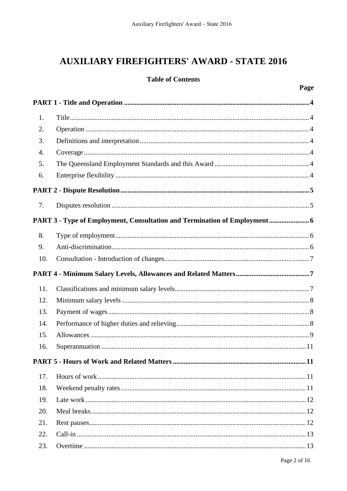# **AUXILIARY FIREFIGHTERS' AWARD - STATE 2016**

# **Table of Contents**

| 1.  |                                                                         |  |  |  |
|-----|-------------------------------------------------------------------------|--|--|--|
| 2.  |                                                                         |  |  |  |
| 3.  |                                                                         |  |  |  |
| 4.  |                                                                         |  |  |  |
| 5.  |                                                                         |  |  |  |
| 6.  |                                                                         |  |  |  |
|     |                                                                         |  |  |  |
| 7.  |                                                                         |  |  |  |
|     | PART 3 - Type of Employment, Consultation and Termination of Employment |  |  |  |
| 8.  |                                                                         |  |  |  |
| 9.  |                                                                         |  |  |  |
| 10. |                                                                         |  |  |  |
|     |                                                                         |  |  |  |
| 11. |                                                                         |  |  |  |
| 12. |                                                                         |  |  |  |
| 13. |                                                                         |  |  |  |
| 14. |                                                                         |  |  |  |
| 15. |                                                                         |  |  |  |
| 16. |                                                                         |  |  |  |
|     |                                                                         |  |  |  |
| 17. |                                                                         |  |  |  |
| 18. |                                                                         |  |  |  |
| 19. |                                                                         |  |  |  |
| 20. |                                                                         |  |  |  |
| 21. |                                                                         |  |  |  |
| 22. |                                                                         |  |  |  |
| 23. |                                                                         |  |  |  |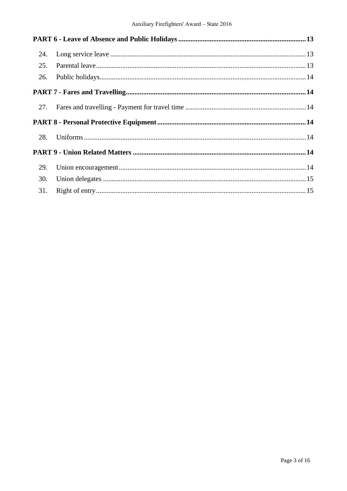| 24. |  |  |
|-----|--|--|
| 25. |  |  |
| 26. |  |  |
|     |  |  |
| 27. |  |  |
|     |  |  |
| 28. |  |  |
|     |  |  |
| 29. |  |  |
| 30. |  |  |
| 31. |  |  |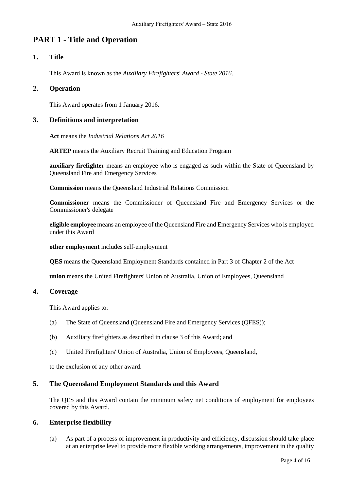# **PART 1 - Title and Operation**

# **1. Title**

This Award is known as the *Auxiliary Firefighters' Award - State 2016*.

# **2. Operation**

This Award operates from 1 January 2016.

#### **3. Definitions and interpretation**

**Act** means the *Industrial Relations Act 2016*

**ARTEP** means the Auxiliary Recruit Training and Education Program

**auxiliary firefighter** means an employee who is engaged as such within the State of Queensland by Queensland Fire and Emergency Services

**Commission** means the Queensland Industrial Relations Commission

**Commissioner** means the Commissioner of Queensland Fire and Emergency Services or the Commissioner's delegate

**eligible employee** means an employee of the Queensland Fire and Emergency Services who is employed under this Award

**other employment** includes self-employment

**QES** means the Queensland Employment Standards contained in Part 3 of Chapter 2 of the Act

**union** means the United Firefighters' Union of Australia, Union of Employees, Queensland

#### **4. Coverage**

This Award applies to:

- (a) The State of Queensland (Queensland Fire and Emergency Services (QFES));
- (b) Auxiliary firefighters as described in clause 3 of this Award; and
- (c) United Firefighters' Union of Australia, Union of Employees, Queensland,

to the exclusion of any other award.

### **5. The Queensland Employment Standards and this Award**

The QES and this Award contain the minimum safety net conditions of employment for employees covered by this Award.

#### **6. Enterprise flexibility**

(a) As part of a process of improvement in productivity and efficiency, discussion should take place at an enterprise level to provide more flexible working arrangements, improvement in the quality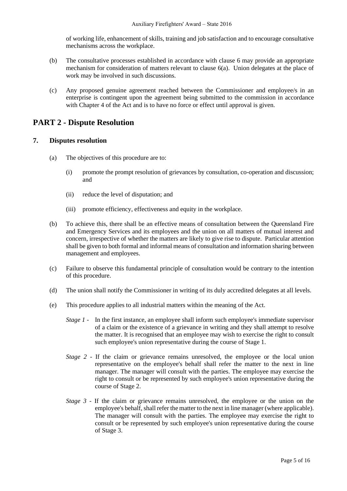of working life, enhancement of skills, training and job satisfaction and to encourage consultative mechanisms across the workplace.

- (b) The consultative processes established in accordance with clause 6 may provide an appropriate mechanism for consideration of matters relevant to clause 6(a). Union delegates at the place of work may be involved in such discussions.
- (c) Any proposed genuine agreement reached between the Commissioner and employee/s in an enterprise is contingent upon the agreement being submitted to the commission in accordance with Chapter 4 of the Act and is to have no force or effect until approval is given.

# **PART 2 - Dispute Resolution**

# **7. Disputes resolution**

- (a) The objectives of this procedure are to:
	- (i) promote the prompt resolution of grievances by consultation, co-operation and discussion; and
	- (ii) reduce the level of disputation; and
	- (iii) promote efficiency, effectiveness and equity in the workplace.
- (b) To achieve this, there shall be an effective means of consultation between the Queensland Fire and Emergency Services and its employees and the union on all matters of mutual interest and concern, irrespective of whether the matters are likely to give rise to dispute. Particular attention shall be given to both formal and informal means of consultation and information sharing between management and employees.
- (c) Failure to observe this fundamental principle of consultation would be contrary to the intention of this procedure.
- (d) The union shall notify the Commissioner in writing of its duly accredited delegates at all levels.
- (e) This procedure applies to all industrial matters within the meaning of the Act.
	- *Stage 1* In the first instance, an employee shall inform such employee's immediate supervisor of a claim or the existence of a grievance in writing and they shall attempt to resolve the matter. It is recognised that an employee may wish to exercise the right to consult such employee's union representative during the course of Stage 1.
	- *Stage 2* If the claim or grievance remains unresolved, the employee or the local union representative on the employee's behalf shall refer the matter to the next in line manager. The manager will consult with the parties. The employee may exercise the right to consult or be represented by such employee's union representative during the course of Stage 2.
	- *Stage 3* If the claim or grievance remains unresolved, the employee or the union on the employee's behalf, shall refer the matter to the next in line manager (where applicable). The manager will consult with the parties. The employee may exercise the right to consult or be represented by such employee's union representative during the course of Stage 3.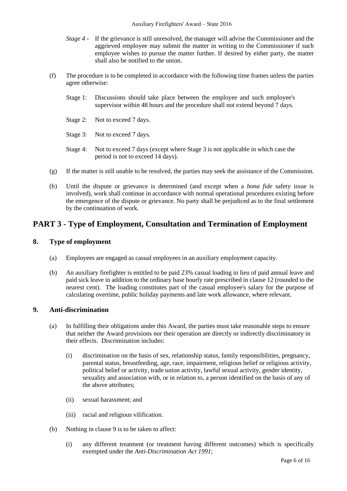- *Stage 4*  If the grievance is still unresolved, the manager will advise the Commissioner and the aggrieved employee may submit the matter in writing to the Commissioner if such employee wishes to pursue the matter further. If desired by either party, the matter shall also be notified to the union.
- (f) The procedure is to be completed in accordance with the following time frames unless the parties agree otherwise:
	- Stage 1: Discussions should take place between the employee and such employee's supervisor within 48 hours and the procedure shall not extend beyond 7 days.
	- Stage 2: Not to exceed 7 days.
	- Stage 3: Not to exceed 7 days.
	- Stage 4: Not to exceed 7 days (except where Stage 3 is not applicable in which case the period is not to exceed 14 days).
- (g) If the matter is still unable to be resolved, the parties may seek the assistance of the Commission.
- (h) Until the dispute or grievance is determined (and except when a *bona fide* safety issue is involved), work shall continue in accordance with normal operational procedures existing before the emergence of the dispute or grievance. No party shall be prejudiced as to the final settlement by the continuation of work.

# **PART 3 - Type of Employment, Consultation and Termination of Employment**

## **8. Type of employment**

- (a) Employees are engaged as casual employees in an auxiliary employment capacity.
- (b) An auxiliary firefighter is entitled to be paid 23% casual loading in lieu of paid annual leave and paid sick leave in addition to the ordinary base hourly rate prescribed in clause 12 (rounded to the nearest cent). The loading constitutes part of the casual employee's salary for the purpose of calculating overtime, public holiday payments and late work allowance, where relevant.

## **9. Anti-discrimination**

- (a) In fulfilling their obligations under this Award, the parties must take reasonable steps to ensure that neither the Award provisions nor their operation are directly or indirectly discriminatory in their effects. Discrimination includes:
	- (i) discrimination on the basis of sex, relationship status, family responsibilities, pregnancy, parental status, breastfeeding, age, race, impairment, religious belief or religious activity, political belief or activity, trade union activity, lawful sexual activity, gender identity, sexuality and association with, or in relation to, a person identified on the basis of any of the above attributes;
	- (ii) sexual harassment; and
	- (iii) racial and religious vilification.
- (b) Nothing in clause 9 is to be taken to affect:
	- (i) any different treatment (or treatment having different outcomes) which is specifically exempted under the *Anti-Discrimination Act 1991*;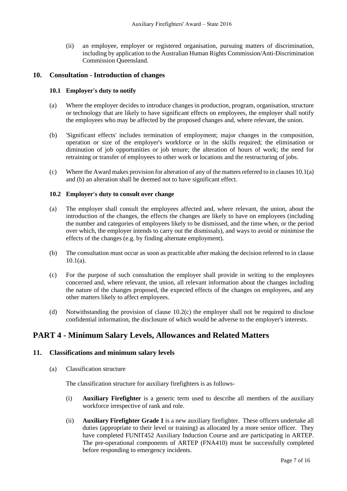(ii) an employee, employer or registered organisation, pursuing matters of discrimination, including by application to the Australian Human Rights Commission/Anti-Discrimination Commission Queensland.

#### **10. Consultation - Introduction of changes**

#### **10.1 Employer's duty to notify**

- (a) Where the employer decides to introduce changes in production, program, organisation, structure or technology that are likely to have significant effects on employees, the employer shall notify the employees who may be affected by the proposed changes and, where relevant, the union.
- (b) 'Significant effects' includes termination of employment; major changes in the composition, operation or size of the employer's workforce or in the skills required; the elimination or diminution of job opportunities or job tenure; the alteration of hours of work; the need for retraining or transfer of employees to other work or locations and the restructuring of jobs.
- (c) Where the Award makes provision for alteration of any of the matters referred to in clauses 10.1(a) and (b) an alteration shall be deemed not to have significant effect.

#### **10.2 Employer's duty to consult over change**

- (a) The employer shall consult the employees affected and, where relevant, the union, about the introduction of the changes, the effects the changes are likely to have on employees (including the number and categories of employees likely to be dismissed, and the time when, or the period over which, the employer intends to carry out the dismissals), and ways to avoid or minimise the effects of the changes (e.g. by finding alternate employment).
- (b) The consultation must occur as soon as practicable after making the decision referred to in clause  $10.1(a)$ .
- (c) For the purpose of such consultation the employer shall provide in writing to the employees concerned and, where relevant, the union, all relevant information about the changes including the nature of the changes proposed, the expected effects of the changes on employees, and any other matters likely to affect employees.
- (d) Notwithstanding the provision of clause 10.2(c) the employer shall not be required to disclose confidential information, the disclosure of which would be adverse to the employer's interests.

# **PART 4 - Minimum Salary Levels, Allowances and Related Matters**

#### **11. Classifications and minimum salary levels**

(a) Classification structure

The classification structure for auxiliary firefighters is as follows-

- (i) **Auxiliary Firefighter** is a generic term used to describe all members of the auxiliary workforce irrespective of rank and role.
- (ii) **Auxiliary Firefighter Grade 1** is a new auxiliary firefighter. These officers undertake all duties (appropriate to their level or training) as allocated by a more senior officer. They have completed FUNIT452 Auxiliary Induction Course and are participating in ARTEP. The pre-operational components of ARTEP (FNA410) must be successfully completed before responding to emergency incidents.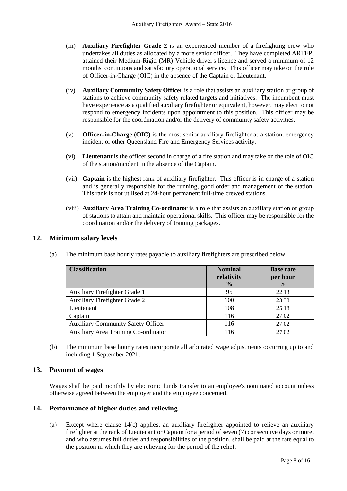- (iii) **Auxiliary Firefighter Grade 2** is an experienced member of a firefighting crew who undertakes all duties as allocated by a more senior officer. They have completed ARTEP, attained their Medium-Rigid (MR) Vehicle driver's licence and served a minimum of 12 months' continuous and satisfactory operational service. This officer may take on the role of Officer-in-Charge (OIC) in the absence of the Captain or Lieutenant.
- (iv) **Auxiliary Community Safety Officer** is a role that assists an auxiliary station or group of stations to achieve community safety related targets and initiatives. The incumbent must have experience as a qualified auxiliary firefighter or equivalent, however, may elect to not respond to emergency incidents upon appointment to this position. This officer may be responsible for the coordination and/or the delivery of community safety activities.
- (v) **Officer-in-Charge (OIC)** is the most senior auxiliary firefighter at a station, emergency incident or other Queensland Fire and Emergency Services activity.
- (vi) **Lieutenant** is the officer second in charge of a fire station and may take on the role of OIC of the station/incident in the absence of the Captain.
- (vii) **Captain** is the highest rank of auxiliary firefighter. This officer is in charge of a station and is generally responsible for the running, good order and management of the station. This rank is not utilised at 24-hour permanent full-time crewed stations.
- (viii) **Auxiliary Area Training Co-ordinator** is a role that assists an auxiliary station or group of stations to attain and maintain operational skills. This officer may be responsible for the coordination and/or the delivery of training packages.

# **12. Minimum salary levels**

| <b>Classification</b>                     | <b>Nominal</b><br>relativity<br>$\frac{0}{0}$ | <b>Base rate</b><br>per hour |
|-------------------------------------------|-----------------------------------------------|------------------------------|
| Auxiliary Firefighter Grade 1             | 95                                            | 22.13                        |
| <b>Auxiliary Firefighter Grade 2</b>      | 100                                           | 23.38                        |
| Lieutenant                                | 108                                           | 25.18                        |
| Captain                                   | 116                                           | 27.02                        |
| <b>Auxiliary Community Safety Officer</b> | 116                                           | 27.02                        |
| Auxiliary Area Training Co-ordinator      | 116                                           | 27.02                        |

(a) The minimum base hourly rates payable to auxiliary firefighters are prescribed below:

(b) The minimum base hourly rates incorporate all arbitrated wage adjustments occurring up to and including 1 September 2021.

# **13. Payment of wages**

Wages shall be paid monthly by electronic funds transfer to an employee's nominated account unless otherwise agreed between the employer and the employee concerned.

#### **14. Performance of higher duties and relieving**

(a) Except where clause 14(c) applies, an auxiliary firefighter appointed to relieve an auxiliary firefighter at the rank of Lieutenant or Captain for a period of seven (7) consecutive days or more, and who assumes full duties and responsibilities of the position, shall be paid at the rate equal to the position in which they are relieving for the period of the relief.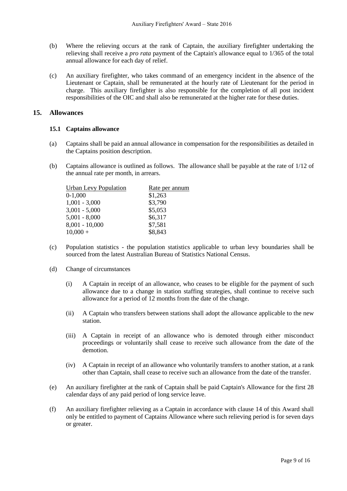- (b) Where the relieving occurs at the rank of Captain, the auxiliary firefighter undertaking the relieving shall receive a *pro rata* payment of the Captain's allowance equal to 1/365 of the total annual allowance for each day of relief.
- (c) An auxiliary firefighter, who takes command of an emergency incident in the absence of the Lieutenant or Captain, shall be remunerated at the hourly rate of Lieutenant for the period in charge. This auxiliary firefighter is also responsible for the completion of all post incident responsibilities of the OIC and shall also be remunerated at the higher rate for these duties.

#### **15. Allowances**

#### **15.1 Captains allowance**

- (a) Captains shall be paid an annual allowance in compensation for the responsibilities as detailed in the Captains position description.
- (b) Captains allowance is outlined as follows. The allowance shall be payable at the rate of 1/12 of the annual rate per month, in arrears.

| <b>Urban Levy Population</b> | <u>Rate</u> per annum |
|------------------------------|-----------------------|
| $0-1,000$                    | \$1,263               |
| $1,001 - 3,000$              | \$3,790               |
| $3,001 - 5,000$              | \$5,053               |
| $5,001 - 8,000$              | \$6,317               |
| $8,001 - 10,000$             | \$7,581               |
| $10,000 +$                   | \$8,843               |
|                              |                       |

- (c) Population statistics the population statistics applicable to urban levy boundaries shall be sourced from the latest Australian Bureau of Statistics National Census.
- (d) Change of circumstances
	- (i) A Captain in receipt of an allowance, who ceases to be eligible for the payment of such allowance due to a change in station staffing strategies, shall continue to receive such allowance for a period of 12 months from the date of the change.
	- (ii) A Captain who transfers between stations shall adopt the allowance applicable to the new station.
	- (iii) A Captain in receipt of an allowance who is demoted through either misconduct proceedings or voluntarily shall cease to receive such allowance from the date of the demotion.
	- (iv) A Captain in receipt of an allowance who voluntarily transfers to another station, at a rank other than Captain, shall cease to receive such an allowance from the date of the transfer.
- (e) An auxiliary firefighter at the rank of Captain shall be paid Captain's Allowance for the first 28 calendar days of any paid period of long service leave.
- (f) An auxiliary firefighter relieving as a Captain in accordance with clause 14 of this Award shall only be entitled to payment of Captains Allowance where such relieving period is for seven days or greater.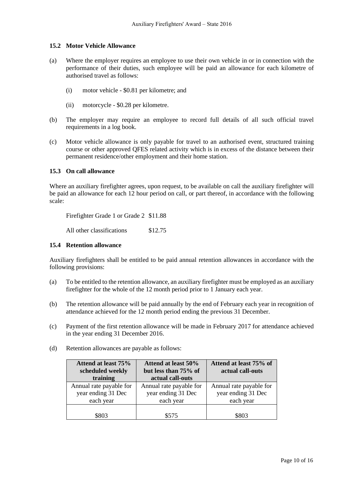#### **15.2 Motor Vehicle Allowance**

- (a) Where the employer requires an employee to use their own vehicle in or in connection with the performance of their duties, such employee will be paid an allowance for each kilometre of authorised travel as follows:
	- (i) motor vehicle \$0.81 per kilometre; and
	- (ii) motorcycle \$0.28 per kilometre.
- (b) The employer may require an employee to record full details of all such official travel requirements in a log book.
- (c) Motor vehicle allowance is only payable for travel to an authorised event, structured training course or other approved QFES related activity which is in excess of the distance between their permanent residence/other employment and their home station.

#### **15.3 On call allowance**

Where an auxiliary firefighter agrees, upon request, to be available on call the auxiliary firefighter will be paid an allowance for each 12 hour period on call, or part thereof, in accordance with the following scale:

Firefighter Grade 1 or Grade 2 \$11.88

All other classifications \$12.75

#### **15.4 Retention allowance**

Auxiliary firefighters shall be entitled to be paid annual retention allowances in accordance with the following provisions:

- (a) To be entitled to the retention allowance, an auxiliary firefighter must be employed as an auxiliary firefighter for the whole of the 12 month period prior to 1 January each year.
- (b) The retention allowance will be paid annually by the end of February each year in recognition of attendance achieved for the 12 month period ending the previous 31 December.
- (c) Payment of the first retention allowance will be made in February 2017 for attendance achieved in the year ending 31 December 2016.
- (d) Retention allowances are payable as follows:

| Attend at least 75%<br>scheduled weekly<br>training        | Attend at least 50%<br>but less than 75% of<br>actual call-outs | Attend at least 75% of<br>actual call-outs                 |
|------------------------------------------------------------|-----------------------------------------------------------------|------------------------------------------------------------|
| Annual rate payable for<br>year ending 31 Dec<br>each year | Annual rate payable for<br>year ending 31 Dec<br>each year      | Annual rate payable for<br>year ending 31 Dec<br>each year |
| \$803                                                      | \$575                                                           | \$803                                                      |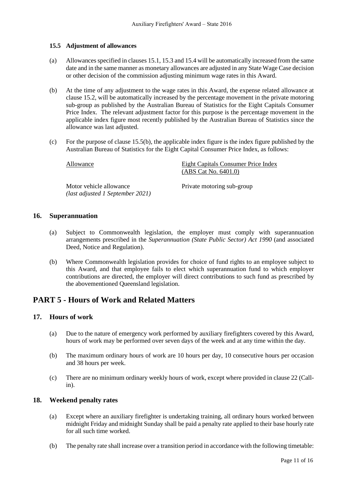#### **15.5 Adjustment of allowances**

- (a) Allowances specified in clauses 15.1, 15.3 and 15.4 will be automatically increased from the same date and in the same manner as monetary allowances are adjusted in any State Wage Case decision or other decision of the commission adjusting minimum wage rates in this Award.
- (b) At the time of any adjustment to the wage rates in this Award, the expense related allowance at clause 15.2, will be automatically increased by the percentage movement in the private motoring sub-group as published by the Australian Bureau of Statistics for the Eight Capitals Consumer Price Index. The relevant adjustment factor for this purpose is the percentage movement in the applicable index figure most recently published by the Australian Bureau of Statistics since the allowance was last adjusted.
- (c) For the purpose of clause 15.5(b), the applicable index figure is the index figure published by the Australian Bureau of Statistics for the Eight Capital Consumer Price Index, as follows:

| Allowance                                                   | Eight Capitals Consumer Price Index<br>(ABS Cat No. 6401.0) |
|-------------------------------------------------------------|-------------------------------------------------------------|
| Motor vehicle allowance<br>(last adjusted 1 September 2021) | Private motoring sub-group                                  |

#### **16. Superannuation**

- (a) Subject to Commonwealth legislation, the employer must comply with superannuation arrangements prescribed in the *Superannuation (State Public Sector) Act 1990* (and associated Deed, Notice and Regulation).
- (b) Where Commonwealth legislation provides for choice of fund rights to an employee subject to this Award, and that employee fails to elect which superannuation fund to which employer contributions are directed, the employer will direct contributions to such fund as prescribed by the abovementioned Queensland legislation.

# **PART 5 - Hours of Work and Related Matters**

#### **17. Hours of work**

- (a) Due to the nature of emergency work performed by auxiliary firefighters covered by this Award, hours of work may be performed over seven days of the week and at any time within the day.
- (b) The maximum ordinary hours of work are 10 hours per day, 10 consecutive hours per occasion and 38 hours per week.
- (c) There are no minimum ordinary weekly hours of work, except where provided in clause 22 (Callin).

### **18. Weekend penalty rates**

- (a) Except where an auxiliary firefighter is undertaking training, all ordinary hours worked between midnight Friday and midnight Sunday shall be paid a penalty rate applied to their base hourly rate for all such time worked.
- (b) The penalty rate shall increase over a transition period in accordance with the following timetable: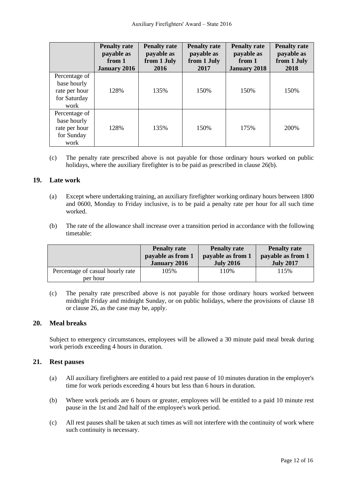|                                                                       | <b>Penalty rate</b><br>payable as<br>from 1<br><b>January 2016</b> | <b>Penalty rate</b><br>payable as<br>from 1 July<br>2016 | <b>Penalty rate</b><br>payable as<br>from 1 July<br>2017 | <b>Penalty rate</b><br>payable as<br>from 1<br><b>January 2018</b> | <b>Penalty rate</b><br>payable as<br>from 1 July<br>2018 |
|-----------------------------------------------------------------------|--------------------------------------------------------------------|----------------------------------------------------------|----------------------------------------------------------|--------------------------------------------------------------------|----------------------------------------------------------|
| Percentage of<br>base hourly<br>rate per hour<br>for Saturday<br>work | 128%                                                               | 135%                                                     | 150%                                                     | 150%                                                               | 150%                                                     |
| Percentage of<br>base hourly<br>rate per hour<br>for Sunday<br>work   | 128%                                                               | 135%                                                     | 150%                                                     | 175%                                                               | 200%                                                     |

(c) The penalty rate prescribed above is not payable for those ordinary hours worked on public holidays, where the auxiliary firefighter is to be paid as prescribed in clause 26(b).

#### **19. Late work**

- (a) Except where undertaking training, an auxiliary firefighter working ordinary hours between 1800 and 0600, Monday to Friday inclusive, is to be paid a penalty rate per hour for all such time worked.
- (b) The rate of the allowance shall increase over a transition period in accordance with the following timetable:

|                                              | <b>Penalty rate</b> | <b>Penalty rate</b> | <b>Penalty rate</b> |
|----------------------------------------------|---------------------|---------------------|---------------------|
|                                              | payable as from 1   | payable as from 1   | payable as from 1   |
|                                              | <b>January 2016</b> | <b>July 2016</b>    | <b>July 2017</b>    |
| Percentage of casual hourly rate<br>per hour | 105%                | ! 10%               | 115%                |

(c) The penalty rate prescribed above is not payable for those ordinary hours worked between midnight Friday and midnight Sunday, or on public holidays, where the provisions of clause 18 or clause 26, as the case may be, apply.

# **20. Meal breaks**

Subject to emergency circumstances, employees will be allowed a 30 minute paid meal break during work periods exceeding 4 hours in duration.

#### **21. Rest pauses**

- (a) All auxiliary firefighters are entitled to a paid rest pause of 10 minutes duration in the employer's time for work periods exceeding 4 hours but less than 6 hours in duration.
- (b) Where work periods are 6 hours or greater, employees will be entitled to a paid 10 minute rest pause in the 1st and 2nd half of the employee's work period.
- (c) All rest pauses shall be taken at such times as will not interfere with the continuity of work where such continuity is necessary.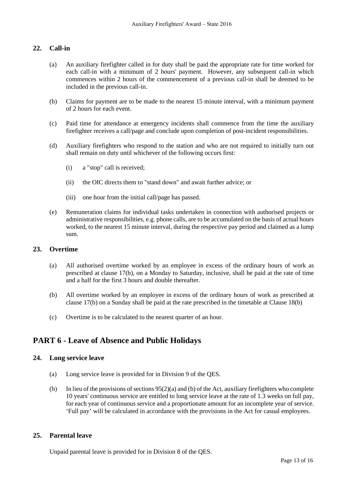# **22. Call-in**

- (a) An auxiliary firefighter called in for duty shall be paid the appropriate rate for time worked for each call-in with a minimum of 2 hours' payment. However, any subsequent call-in which commences within 2 hours of the commencement of a previous call-in shall be deemed to be included in the previous call-in.
- (b) Claims for payment are to be made to the nearest 15 minute interval, with a minimum payment of 2 hours for each event.
- (c) Paid time for attendance at emergency incidents shall commence from the time the auxiliary firefighter receives a call/page and conclude upon completion of post-incident responsibilities.
- (d) Auxiliary firefighters who respond to the station and who are not required to initially turn out shall remain on duty until whichever of the following occurs first:
	- (i) a "stop" call is received;
	- (ii) the OIC directs them to "stand down" and await further advice; or
	- (iii) one hour from the initial call/page has passed.
- (e) Remuneration claims for individual tasks undertaken in connection with authorised projects or administrative responsibilities, e.g. phone calls, are to be accumulated on the basis of actual hours worked, to the nearest 15 minute interval, during the respective pay period and claimed as a lump sum.

#### **23. Overtime**

- (a) All authorised overtime worked by an employee in excess of the ordinary hours of work as prescribed at clause 17(b), on a Monday to Saturday, inclusive, shall be paid at the rate of time and a half for the first 3 hours and double thereafter.
- (b) All overtime worked by an employee in excess of the ordinary hours of work as prescribed at clause 17(b) on a Sunday shall be paid at the rate prescribed in the timetable at Clause 18(b)
- (c) Overtime is to be calculated to the nearest quarter of an hour.

# **PART 6 - Leave of Absence and Public Holidays**

#### **24. Long service leave**

- (a) Long service leave is provided for in Division 9 of the QES.
- (b) In lieu of the provisions of sections  $95(2)(a)$  and (b) of the Act, auxiliary firefighters who complete 10 years' continuous service are entitled to long service leave at the rate of 1.3 weeks on full pay, for each year of continuous service and a proportionate amount for an incomplete year of service. 'Full pay' will be calculated in accordance with the provisions in the Act for casual employees.

# **25. Parental leave**

Unpaid parental leave is provided for in Division 8 of the QES.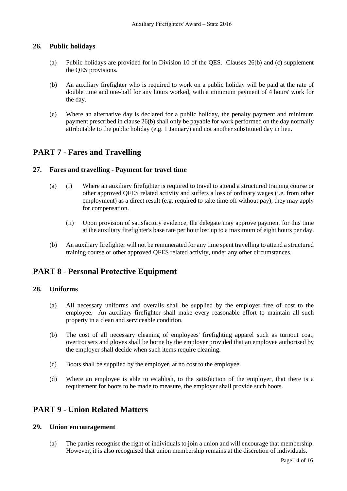### **26. Public holidays**

- (a) Public holidays are provided for in Division 10 of the QES. Clauses 26(b) and (c) supplement the QES provisions.
- (b) An auxiliary firefighter who is required to work on a public holiday will be paid at the rate of double time and one-half for any hours worked, with a minimum payment of 4 hours' work for the day.
- (c) Where an alternative day is declared for a public holiday, the penalty payment and minimum payment prescribed in clause 26(b) shall only be payable for work performed on the day normally attributable to the public holiday (e.g. 1 January) and not another substituted day in lieu.

# **PART 7 - Fares and Travelling**

### **27. Fares and travelling - Payment for travel time**

- (a) (i) Where an auxiliary firefighter is required to travel to attend a structured training course or other approved QFES related activity and suffers a loss of ordinary wages (i.e. from other employment) as a direct result (e.g. required to take time off without pay), they may apply for compensation.
	- (ii) Upon provision of satisfactory evidence, the delegate may approve payment for this time at the auxiliary firefighter's base rate per hour lost up to a maximum of eight hours per day.
- (b) An auxiliary firefighter will not be remunerated for any time spent travelling to attend a structured training course or other approved QFES related activity, under any other circumstances.

# **PART 8 - Personal Protective Equipment**

#### **28. Uniforms**

- (a) All necessary uniforms and overalls shall be supplied by the employer free of cost to the employee. An auxiliary firefighter shall make every reasonable effort to maintain all such property in a clean and serviceable condition.
- (b) The cost of all necessary cleaning of employees' firefighting apparel such as turnout coat, overtrousers and gloves shall be borne by the employer provided that an employee authorised by the employer shall decide when such items require cleaning.
- (c) Boots shall be supplied by the employer, at no cost to the employee.
- (d) Where an employee is able to establish, to the satisfaction of the employer, that there is a requirement for boots to be made to measure, the employer shall provide such boots.

# **PART 9 - Union Related Matters**

#### **29. Union encouragement**

(a) The parties recognise the right of individuals to join a union and will encourage that membership. However, it is also recognised that union membership remains at the discretion of individuals.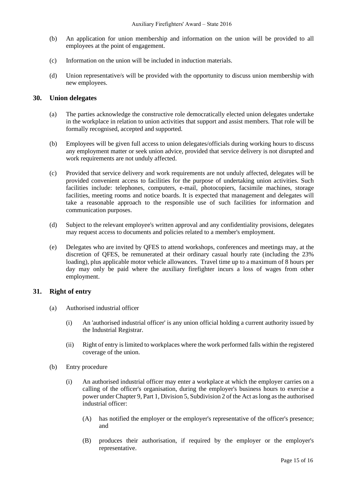- (b) An application for union membership and information on the union will be provided to all employees at the point of engagement.
- (c) Information on the union will be included in induction materials.
- (d) Union representative/s will be provided with the opportunity to discuss union membership with new employees.

#### **30. Union delegates**

- (a) The parties acknowledge the constructive role democratically elected union delegates undertake in the workplace in relation to union activities that support and assist members. That role will be formally recognised, accepted and supported.
- (b) Employees will be given full access to union delegates/officials during working hours to discuss any employment matter or seek union advice, provided that service delivery is not disrupted and work requirements are not unduly affected.
- (c) Provided that service delivery and work requirements are not unduly affected, delegates will be provided convenient access to facilities for the purpose of undertaking union activities. Such facilities include: telephones, computers, e-mail, photocopiers, facsimile machines, storage facilities, meeting rooms and notice boards. It is expected that management and delegates will take a reasonable approach to the responsible use of such facilities for information and communication purposes.
- (d) Subject to the relevant employee's written approval and any confidentiality provisions, delegates may request access to documents and policies related to a member's employment.
- (e) Delegates who are invited by QFES to attend workshops, conferences and meetings may, at the discretion of QFES, be remunerated at their ordinary casual hourly rate (including the 23% loading), plus applicable motor vehicle allowances. Travel time up to a maximum of 8 hours per day may only be paid where the auxiliary firefighter incurs a loss of wages from other employment.

#### **31. Right of entry**

- (a) Authorised industrial officer
	- (i) An 'authorised industrial officer' is any union official holding a current authority issued by the Industrial Registrar.
	- (ii) Right of entry is limited to workplaces where the work performed falls within the registered coverage of the union.
- (b) Entry procedure
	- (i) An authorised industrial officer may enter a workplace at which the employer carries on a calling of the officer's organisation, during the employer's business hours to exercise a power under Chapter 9, Part 1, Division 5, Subdivision 2 of the Act as long as the authorised industrial officer:
		- (A) has notified the employer or the employer's representative of the officer's presence; and
		- (B) produces their authorisation, if required by the employer or the employer's representative.